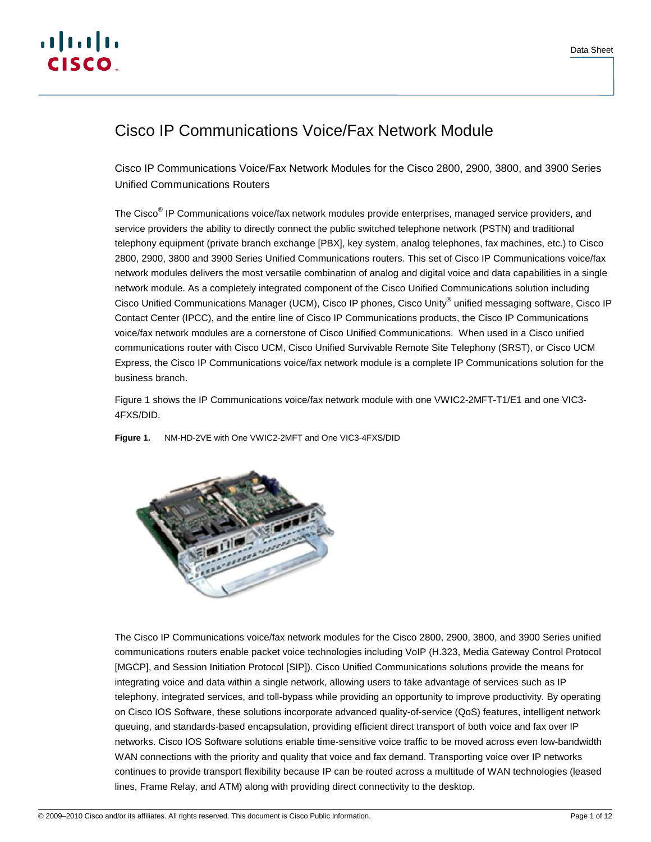

# Cisco IP Communications Voice/Fax Network Module

Cisco IP Communications Voice/Fax Network Modules for the Cisco 2800, 2900, 3800, and 3900 Series Unified Communications Routers

The Cisco<sup>®</sup> IP Communications voice/fax network modules provide enterprises, managed service providers, and service providers the ability to directly connect the public switched telephone network (PSTN) and traditional telephony equipment (private branch exchange [PBX], key system, analog telephones, fax machines, etc.) to Cisco 2800, 2900, 3800 and 3900 Series Unified Communications routers. This set of Cisco IP Communications voice/fax network modules delivers the most versatile combination of analog and digital voice and data capabilities in a single network module. As a completely integrated component of the Cisco Unified Communications solution including Cisco Unified Communications Manager (UCM), Cisco IP phones, Cisco Unity® unified messaging software, Cisco IP Contact Center (IPCC), and the entire line of Cisco IP Communications products, the Cisco IP Communications voice/fax network modules are a cornerstone of Cisco Unified Communications. When used in a Cisco unified communications router with Cisco UCM, Cisco Unified Survivable Remote Site Telephony (SRST), or Cisco UCM Express, the Cisco IP Communications voice/fax network module is a complete IP Communications solution for the business branch.

Figure 1 shows the IP Communications voice/fax network module with one VWIC2-2MFT-T1/E1 and one VIC3- 4FXS/DID.

**Figure 1.** NM-HD-2VE with One VWIC2-2MFT and One VIC3-4FXS/DID



The Cisco IP Communications voice/fax network modules for the Cisco 2800, 2900, 3800, and 3900 Series unified communications routers enable packet voice technologies including VoIP (H.323, Media Gateway Control Protocol [MGCP], and Session Initiation Protocol [SIP]). Cisco Unified Communications solutions provide the means for integrating voice and data within a single network, allowing users to take advantage of services such as IP telephony, integrated services, and toll-bypass while providing an opportunity to improve productivity. By operating on Cisco IOS Software, these solutions incorporate advanced quality-of-service (QoS) features, intelligent network queuing, and standards-based encapsulation, providing efficient direct transport of both voice and fax over IP networks. Cisco IOS Software solutions enable time-sensitive voice traffic to be moved across even low-bandwidth WAN connections with the priority and quality that voice and fax demand. Transporting voice over IP networks continues to provide transport flexibility because IP can be routed across a multitude of WAN technologies (leased lines, Frame Relay, and ATM) along with providing direct connectivity to the desktop.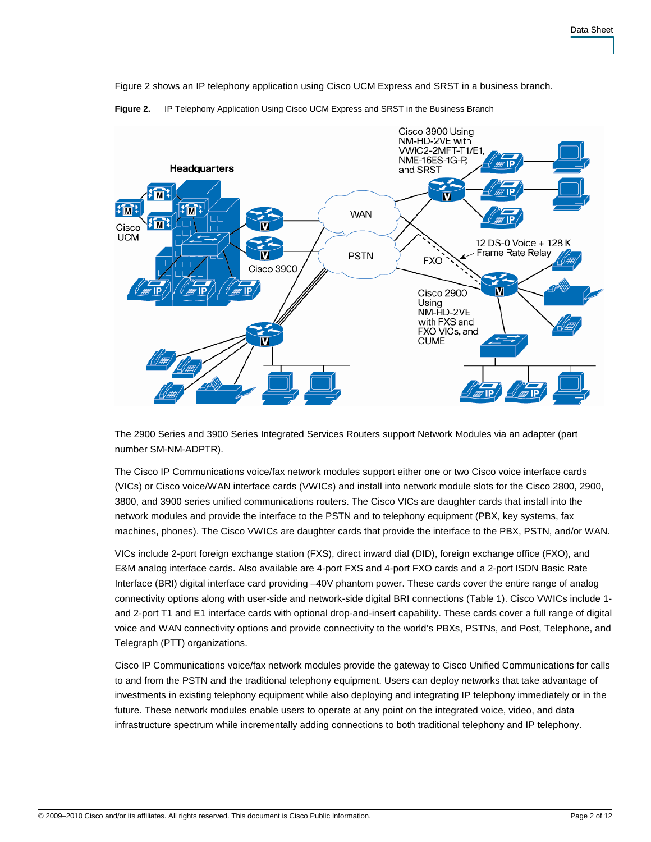Figure 2 shows an IP telephony application using Cisco UCM Express and SRST in a business branch.



**Figure 2.** IP Telephony Application Using Cisco UCM Express and SRST in the Business Branch

The 2900 Series and 3900 Series Integrated Services Routers support Network Modules via an adapter (part number SM-NM-ADPTR).

The Cisco IP Communications voice/fax network modules support either one or two Cisco voice interface cards (VICs) or Cisco voice/WAN interface cards (VWICs) and install into network module slots for the Cisco 2800, 2900, 3800, and 3900 series unified communications routers. The Cisco VICs are daughter cards that install into the network modules and provide the interface to the PSTN and to telephony equipment (PBX, key systems, fax machines, phones). The Cisco VWICs are daughter cards that provide the interface to the PBX, PSTN, and/or WAN.

VICs include 2-port foreign exchange station (FXS), direct inward dial (DID), foreign exchange office (FXO), and E&M analog interface cards. Also available are 4-port FXS and 4-port FXO cards and a 2-port ISDN Basic Rate Interface (BRI) digital interface card providing –40V phantom power. These cards cover the entire range of analog connectivity options along with user-side and network-side digital BRI connections (Table 1). Cisco VWICs include 1 and 2-port T1 and E1 interface cards with optional drop-and-insert capability. These cards cover a full range of digital voice and WAN connectivity options and provide connectivity to the world's PBXs, PSTNs, and Post, Telephone, and Telegraph (PTT) organizations.

Cisco IP Communications voice/fax network modules provide the gateway to Cisco Unified Communications for calls to and from the PSTN and the traditional telephony equipment. Users can deploy networks that take advantage of investments in existing telephony equipment while also deploying and integrating IP telephony immediately or in the future. These network modules enable users to operate at any point on the integrated voice, video, and data infrastructure spectrum while incrementally adding connections to both traditional telephony and IP telephony.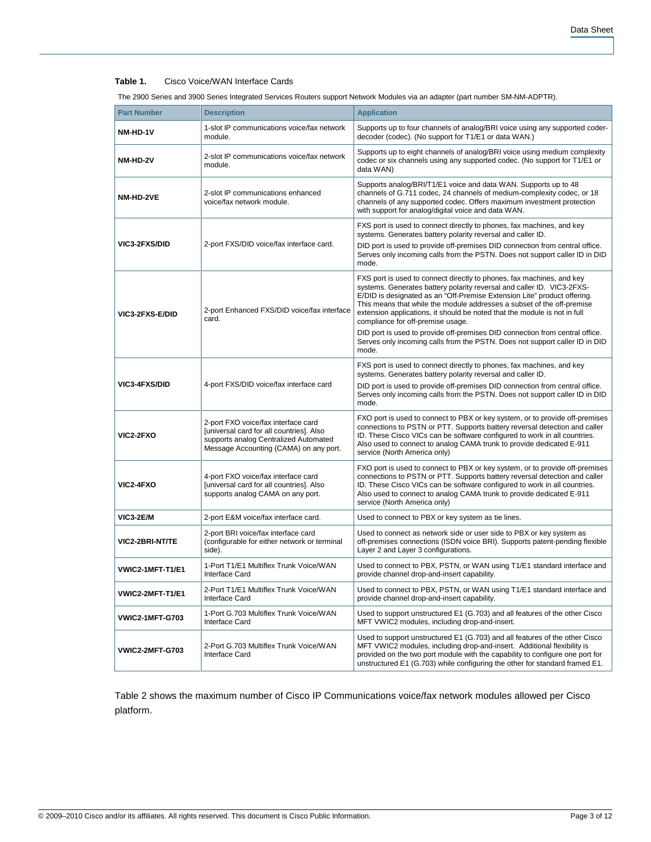## **Table 1.** Cisco Voice/WAN Interface Cards

| The 2900 Series and 3900 Series Integrated Services Routers support Network Modules via an adapter (part number SM-NM-ADPTR). |  |
|-------------------------------------------------------------------------------------------------------------------------------|--|
|                                                                                                                               |  |
|                                                                                                                               |  |

| <b>Part Number</b>     | <b>Description</b>                                                                                                                                                 | <b>Application</b>                                                                                                                                                                                                                                                                                                                                                                                                      |
|------------------------|--------------------------------------------------------------------------------------------------------------------------------------------------------------------|-------------------------------------------------------------------------------------------------------------------------------------------------------------------------------------------------------------------------------------------------------------------------------------------------------------------------------------------------------------------------------------------------------------------------|
| NM-HD-1V               | 1-slot IP communications voice/fax network<br>module.                                                                                                              | Supports up to four channels of analog/BRI voice using any supported coder-<br>decoder (codec). (No support for T1/E1 or data WAN.)                                                                                                                                                                                                                                                                                     |
| NM-HD-2V               | 2-slot IP communications voice/fax network<br>module.                                                                                                              | Supports up to eight channels of analog/BRI voice using medium complexity<br>codec or six channels using any supported codec. (No support for T1/E1 or<br>data WAN)                                                                                                                                                                                                                                                     |
| NM-HD-2VE              | 2-slot IP communications enhanced<br>voice/fax network module.                                                                                                     | Supports analog/BRI/T1/E1 voice and data WAN. Supports up to 48<br>channels of G.711 codec, 24 channels of medium-complexity codec, or 18<br>channels of any supported codec. Offers maximum investment protection<br>with support for analog/digital voice and data WAN.                                                                                                                                               |
|                        |                                                                                                                                                                    | FXS port is used to connect directly to phones, fax machines, and key<br>systems. Generates battery polarity reversal and caller ID.                                                                                                                                                                                                                                                                                    |
| <b>VIC3-2FXS/DID</b>   | 2-port FXS/DID voice/fax interface card.                                                                                                                           | DID port is used to provide off-premises DID connection from central office.<br>Serves only incoming calls from the PSTN. Does not support caller ID in DID<br>mode.                                                                                                                                                                                                                                                    |
| <b>VIC3-2FXS-E/DID</b> | 2-port Enhanced FXS/DID voice/fax interface<br>card.                                                                                                               | FXS port is used to connect directly to phones, fax machines, and key<br>systems. Generates battery polarity reversal and caller ID. VIC3-2FXS-<br>E/DID is designated as an "Off-Premise Extension Lite" product offering.<br>This means that while the module addresses a subset of the off-premise<br>extension applications, it should be noted that the module is not in full<br>compliance for off-premise usage. |
|                        |                                                                                                                                                                    | DID port is used to provide off-premises DID connection from central office.<br>Serves only incoming calls from the PSTN. Does not support caller ID in DID<br>mode.                                                                                                                                                                                                                                                    |
|                        |                                                                                                                                                                    | FXS port is used to connect directly to phones, fax machines, and key<br>systems. Generates battery polarity reversal and caller ID.                                                                                                                                                                                                                                                                                    |
| <b>VIC3-4FXS/DID</b>   | 4-port FXS/DID voice/fax interface card                                                                                                                            | DID port is used to provide off-premises DID connection from central office.<br>Serves only incoming calls from the PSTN. Does not support caller ID in DID<br>mode.                                                                                                                                                                                                                                                    |
| <b>VIC2-2FXO</b>       | 2-port FXO voice/fax interface card<br>[universal card for all countries]. Also<br>supports analog Centralized Automated<br>Message Accounting (CAMA) on any port. | FXO port is used to connect to PBX or key system, or to provide off-premises<br>connections to PSTN or PTT. Supports battery reversal detection and caller<br>ID. These Cisco VICs can be software configured to work in all countries.<br>Also used to connect to analog CAMA trunk to provide dedicated E-911<br>service (North America only)                                                                         |
| VIC2-4FXO              | 4-port FXO voice/fax interface card<br>[universal card for all countries]. Also<br>supports analog CAMA on any port.                                               | FXO port is used to connect to PBX or key system, or to provide off-premises<br>connections to PSTN or PTT. Supports battery reversal detection and caller<br>ID. These Cisco VICs can be software configured to work in all countries.<br>Also used to connect to analog CAMA trunk to provide dedicated E-911<br>service (North America only)                                                                         |
| <b>VIC3-2E/M</b>       | 2-port E&M voice/fax interface card.                                                                                                                               | Used to connect to PBX or key system as tie lines.                                                                                                                                                                                                                                                                                                                                                                      |
| <b>VIC2-2BRI-NT/TE</b> | 2-port BRI voice/fax interface card<br>(configurable for either network or terminal<br>side).                                                                      | Used to connect as network side or user side to PBX or key system as<br>off-premises connections (ISDN voice BRI). Supports patent-pending flexible<br>Layer 2 and Layer 3 configurations.                                                                                                                                                                                                                              |
| VWIC2-1MFT-T1/E1       | 1-Port T1/E1 Multiflex Trunk Voice/WAN<br><b>Interface Card</b>                                                                                                    | Used to connect to PBX, PSTN, or WAN using T1/E1 standard interface and<br>provide channel drop-and-insert capability.                                                                                                                                                                                                                                                                                                  |
| VWIC2-2MFT-T1/E1       | 2-Port T1/E1 Multiflex Trunk Voice/WAN<br><b>Interface Card</b>                                                                                                    | Used to connect to PBX, PSTN, or WAN using T1/E1 standard interface and<br>provide channel drop-and-insert capability.                                                                                                                                                                                                                                                                                                  |
| <b>VWIC2-1MFT-G703</b> | 1-Port G.703 Multiflex Trunk Voice/WAN<br>Interface Card                                                                                                           | Used to support unstructured E1 (G.703) and all features of the other Cisco<br>MFT VWIC2 modules, including drop-and-insert.                                                                                                                                                                                                                                                                                            |
| <b>VWIC2-2MFT-G703</b> | 2-Port G.703 Multiflex Trunk Voice/WAN<br>Interface Card                                                                                                           | Used to support unstructured E1 (G.703) and all features of the other Cisco<br>MFT VWIC2 modules, including drop-and-insert. Additional flexibility is<br>provided on the two port module with the capability to configure one port for<br>unstructured E1 (G.703) while configuring the other for standard framed E1.                                                                                                  |

Table 2 shows the maximum number of Cisco IP Communications voice/fax network modules allowed per Cisco platform.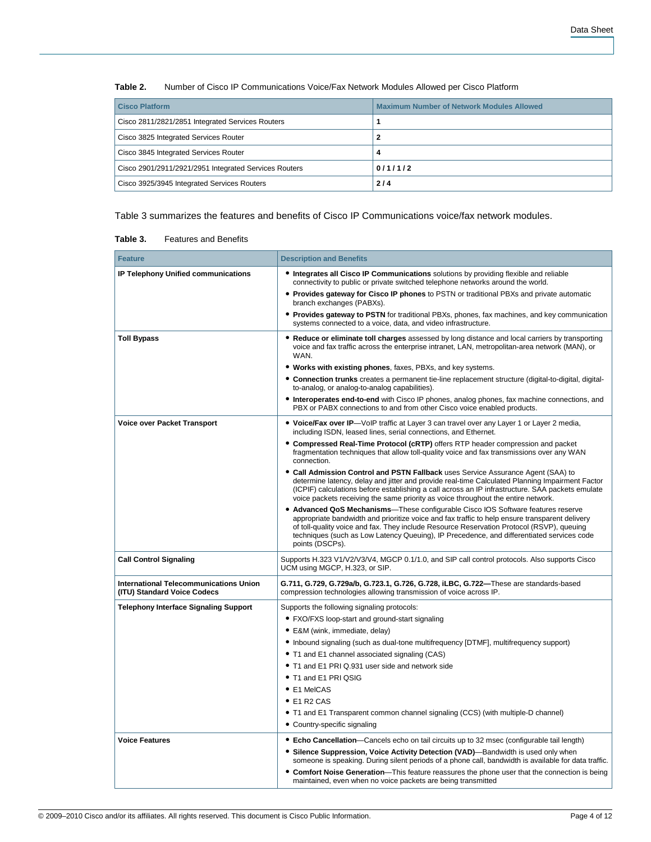| <b>Cisco Platform</b>                                 | <b>Maximum Number of Network Modules Allowed</b> |
|-------------------------------------------------------|--------------------------------------------------|
| Cisco 2811/2821/2851 Integrated Services Routers      |                                                  |
| Cisco 3825 Integrated Services Router                 |                                                  |
| Cisco 3845 Integrated Services Router                 | 4                                                |
| Cisco 2901/2911/2921/2951 Integrated Services Routers | 0/1/1/2                                          |
| Cisco 3925/3945 Integrated Services Routers           | 2/4                                              |

**Table 2.** Number of Cisco IP Communications Voice/Fax Network Modules Allowed per Cisco Platform

Table 3 summarizes the features and benefits of Cisco IP Communications voice/fax network modules.

| <b>Feature</b>                                                        | <b>Description and Benefits</b>                                                                                                                                                                                                                                                                                                                                                                                                                                                                                                                                                                                                                                                                                                                                                                |
|-----------------------------------------------------------------------|------------------------------------------------------------------------------------------------------------------------------------------------------------------------------------------------------------------------------------------------------------------------------------------------------------------------------------------------------------------------------------------------------------------------------------------------------------------------------------------------------------------------------------------------------------------------------------------------------------------------------------------------------------------------------------------------------------------------------------------------------------------------------------------------|
| IP Telephony Unified communications                                   | • Integrates all Cisco IP Communications solutions by providing flexible and reliable<br>connectivity to public or private switched telephone networks around the world.                                                                                                                                                                                                                                                                                                                                                                                                                                                                                                                                                                                                                       |
|                                                                       | • Provides gateway for Cisco IP phones to PSTN or traditional PBXs and private automatic<br>branch exchanges (PABXs).                                                                                                                                                                                                                                                                                                                                                                                                                                                                                                                                                                                                                                                                          |
|                                                                       | • Provides gateway to PSTN for traditional PBXs, phones, fax machines, and key communication<br>systems connected to a voice, data, and video infrastructure.                                                                                                                                                                                                                                                                                                                                                                                                                                                                                                                                                                                                                                  |
| <b>Toll Bypass</b>                                                    | • Reduce or eliminate toll charges assessed by long distance and local carriers by transporting<br>voice and fax traffic across the enterprise intranet, LAN, metropolitan-area network (MAN), or<br>WAN.<br>• Works with existing phones, faxes, PBXs, and key systems.<br>• Connection trunks creates a permanent tie-line replacement structure (digital-to-digital, digital-<br>to-analog, or analog-to-analog capabilities).<br>• Interoperates end-to-end with Cisco IP phones, analog phones, fax machine connections, and<br>PBX or PABX connections to and from other Cisco voice enabled products.                                                                                                                                                                                   |
| <b>Voice over Packet Transport</b>                                    | • Voice/Fax over IP—VoIP traffic at Layer 3 can travel over any Layer 1 or Layer 2 media,<br>including ISDN, leased lines, serial connections, and Ethernet.<br>• Compressed Real-Time Protocol (cRTP) offers RTP header compression and packet<br>fragmentation techniques that allow toll-quality voice and fax transmissions over any WAN                                                                                                                                                                                                                                                                                                                                                                                                                                                   |
|                                                                       | connection.<br>• Call Admission Control and PSTN Fallback uses Service Assurance Agent (SAA) to<br>determine latency, delay and jitter and provide real-time Calculated Planning Impairment Factor<br>(ICPIF) calculations before establishing a call across an IP infrastructure. SAA packets emulate<br>voice packets receiving the same priority as voice throughout the entire network.<br>• Advanced QoS Mechanisms—These configurable Cisco IOS Software features reserve<br>appropriate bandwidth and prioritize voice and fax traffic to help ensure transparent delivery<br>of toll-quality voice and fax. They include Resource Reservation Protocol (RSVP), queuing<br>techniques (such as Low Latency Queuing), IP Precedence, and differentiated services code<br>points (DSCPs). |
| <b>Call Control Signaling</b>                                         | Supports H.323 V1/V2/V3/V4, MGCP 0.1/1.0, and SIP call control protocols. Also supports Cisco<br>UCM using MGCP, H.323, or SIP.                                                                                                                                                                                                                                                                                                                                                                                                                                                                                                                                                                                                                                                                |
| International Telecommunications Union<br>(ITU) Standard Voice Codecs | G.711, G.729, G.729a/b, G.723.1, G.726, G.728, iLBC, G.722—These are standards-based<br>compression technologies allowing transmission of voice across IP.                                                                                                                                                                                                                                                                                                                                                                                                                                                                                                                                                                                                                                     |
| <b>Telephony Interface Signaling Support</b>                          | Supports the following signaling protocols:<br>• FXO/FXS loop-start and ground-start signaling<br>• E&M (wink, immediate, delay)<br>• Inbound signaling (such as dual-tone multifrequency [DTMF], multifrequency support)<br>• T1 and E1 channel associated signaling (CAS)<br>• T1 and E1 PRI Q.931 user side and network side<br>• T1 and E1 PRI QSIG<br>• E1 MelCAS<br>$\bullet$ E1 R2 CAS<br>• T1 and E1 Transparent common channel signaling (CCS) (with multiple-D channel)<br>• Country-specific signaling                                                                                                                                                                                                                                                                              |
| <b>Voice Features</b>                                                 | • Echo Cancellation-Cancels echo on tail circuits up to 32 msec (configurable tail length)<br>• Silence Suppression, Voice Activity Detection (VAD)—Bandwidth is used only when<br>someone is speaking. During silent periods of a phone call, bandwidth is available for data traffic.<br>• Comfort Noise Generation—This feature reassures the phone user that the connection is being<br>maintained, even when no voice packets are being transmitted                                                                                                                                                                                                                                                                                                                                       |

#### **Table 3.** Features and Benefits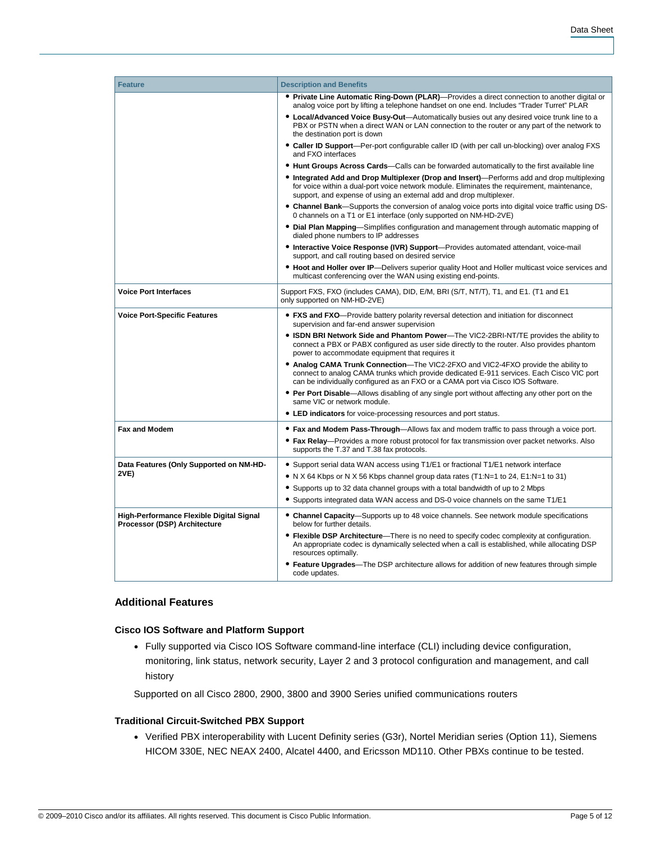| <b>Feature</b>                                                           | <b>Description and Benefits</b>                                                                                                                                                                                                                                   |
|--------------------------------------------------------------------------|-------------------------------------------------------------------------------------------------------------------------------------------------------------------------------------------------------------------------------------------------------------------|
|                                                                          | • Private Line Automatic Ring-Down (PLAR)—Provides a direct connection to another digital or<br>analog voice port by lifting a telephone handset on one end. Includes "Trader Turret" PLAR                                                                        |
|                                                                          | • Local/Advanced Voice Busy-Out-Automatically busies out any desired voice trunk line to a<br>PBX or PSTN when a direct WAN or LAN connection to the router or any part of the network to<br>the destination port is down                                         |
|                                                                          | • Caller ID Support—Per-port configurable caller ID (with per call un-blocking) over analog FXS<br>and FXO interfaces                                                                                                                                             |
|                                                                          | . Hunt Groups Across Cards—Calls can be forwarded automatically to the first available line                                                                                                                                                                       |
|                                                                          | • Integrated Add and Drop Multiplexer (Drop and Insert)—Performs add and drop multiplexing<br>for voice within a dual-port voice network module. Eliminates the requirement, maintenance,<br>support, and expense of using an external add and drop multiplexer.  |
|                                                                          | • Channel Bank—Supports the conversion of analog voice ports into digital voice traffic using DS-<br>0 channels on a T1 or E1 interface (only supported on NM-HD-2VE)                                                                                             |
|                                                                          | • Dial Plan Mapping—Simplifies configuration and management through automatic mapping of<br>dialed phone numbers to IP addresses                                                                                                                                  |
|                                                                          | • Interactive Voice Response (IVR) Support-Provides automated attendant, voice-mail<br>support, and call routing based on desired service                                                                                                                         |
|                                                                          | • Hoot and Holler over IP-Delivers superior quality Hoot and Holler multicast voice services and<br>multicast conferencing over the WAN using existing end-points.                                                                                                |
| <b>Voice Port Interfaces</b>                                             | Support FXS, FXO (includes CAMA), DID, E/M, BRI (S/T, NT/T), T1, and E1. (T1 and E1<br>only supported on NM-HD-2VE)                                                                                                                                               |
| <b>Voice Port-Specific Features</b>                                      | • FXS and FXO—Provide battery polarity reversal detection and initiation for disconnect<br>supervision and far-end answer supervision                                                                                                                             |
|                                                                          | • ISDN BRI Network Side and Phantom Power—The VIC2-2BRI-NT/TE provides the ability to<br>connect a PBX or PABX configured as user side directly to the router. Also provides phantom<br>power to accommodate equipment that requires it                           |
|                                                                          | • Analog CAMA Trunk Connection—The VIC2-2FXO and VIC2-4FXO provide the ability to<br>connect to analog CAMA trunks which provide dedicated E-911 services. Each Cisco VIC port<br>can be individually configured as an FXO or a CAMA port via Cisco IOS Software. |
|                                                                          | • Per Port Disable—Allows disabling of any single port without affecting any other port on the<br>same VIC or network module.                                                                                                                                     |
|                                                                          | • LED indicators for voice-processing resources and port status.                                                                                                                                                                                                  |
| <b>Fax and Modem</b>                                                     | • Fax and Modem Pass-Through—Allows fax and modem traffic to pass through a voice port.                                                                                                                                                                           |
|                                                                          | • Fax Relay—Provides a more robust protocol for fax transmission over packet networks. Also<br>supports the T.37 and T.38 fax protocols.                                                                                                                          |
| Data Features (Only Supported on NM-HD-                                  | • Support serial data WAN access using T1/E1 or fractional T1/E1 network interface                                                                                                                                                                                |
| 2VE)                                                                     | • N X 64 Kbps or N X 56 Kbps channel group data rates (T1:N=1 to 24, E1:N=1 to 31)                                                                                                                                                                                |
|                                                                          | • Supports up to 32 data channel groups with a total bandwidth of up to 2 Mbps                                                                                                                                                                                    |
|                                                                          | • Supports integrated data WAN access and DS-0 voice channels on the same T1/E1                                                                                                                                                                                   |
| High-Performance Flexible Digital Signal<br>Processor (DSP) Architecture | • Channel Capacity-Supports up to 48 voice channels. See network module specifications<br>below for further details.                                                                                                                                              |
|                                                                          | • Flexible DSP Architecture—There is no need to specify codec complexity at configuration.<br>An appropriate codec is dynamically selected when a call is established, while allocating DSP<br>resources optimally.                                               |
|                                                                          | • Feature Upgrades—The DSP architecture allows for addition of new features through simple<br>code updates.                                                                                                                                                       |

# **Additional Features**

## **Cisco IOS Software and Platform Support**

● Fully supported via Cisco IOS Software command-line interface (CLI) including device configuration, monitoring, link status, network security, Layer 2 and 3 protocol configuration and management, and call history

Supported on all Cisco 2800, 2900, 3800 and 3900 Series unified communications routers

## **Traditional Circuit-Switched PBX Support**

● Verified PBX interoperability with Lucent Definity series (G3r), Nortel Meridian series (Option 11), Siemens HICOM 330E, NEC NEAX 2400, Alcatel 4400, and Ericsson MD110. Other PBXs continue to be tested.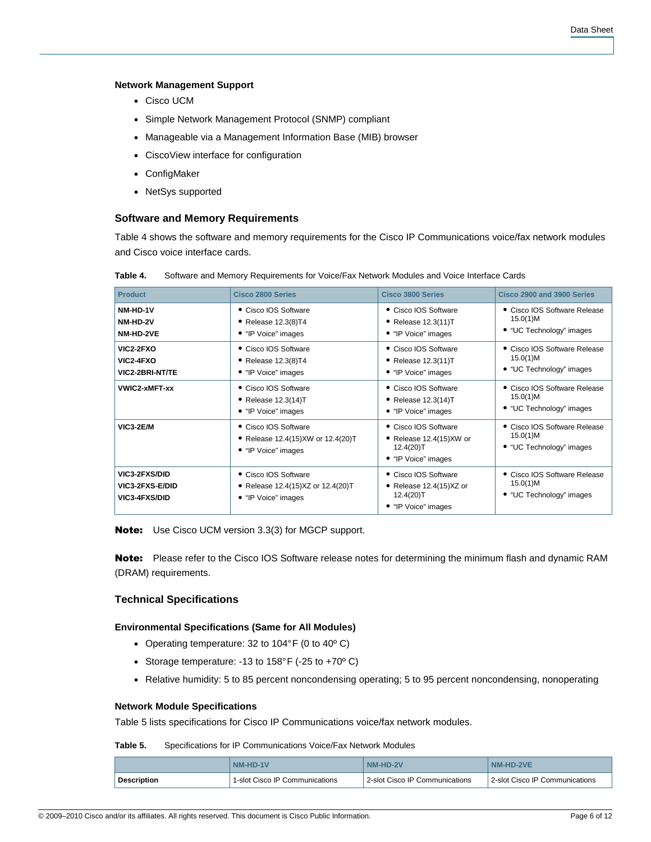## **Network Management Support**

- Cisco UCM
- Simple Network Management Protocol (SNMP) compliant
- Manageable via a Management Information Base (MIB) browser
- CiscoView interface for configuration
- ConfigMaker
- NetSys supported

## **Software and Memory Requirements**

Table 4 shows the software and memory requirements for the Cisco IP Communications voice/fax network modules and Cisco voice interface cards.

| <b>Product</b>                                                         | Cisco 2800 Series                                                                    | Cisco 3800 Series                                                                        | Cisco 2900 and 3900 Series                                           |
|------------------------------------------------------------------------|--------------------------------------------------------------------------------------|------------------------------------------------------------------------------------------|----------------------------------------------------------------------|
| NM-HD-1V                                                               | • Cisco IOS Software                                                                 | • Cisco IOS Software                                                                     | • Cisco IOS Software Release                                         |
| NM-HD-2V                                                               | $\bullet$ Release 12.3(8)T4                                                          | • Release $12.3(11)T$                                                                    | 15.0(1)M                                                             |
| NM-HD-2VE                                                              | • "IP Voice" images                                                                  | • "IP Voice" images                                                                      | • "UC Technology" images                                             |
| VIC2-2FXO                                                              | • Cisco IOS Software                                                                 | • Cisco IOS Software                                                                     | • Cisco IOS Software Release                                         |
| VIC2-4FXO                                                              | • Release $12.3(8)T4$                                                                | • Release $12.3(11)T$                                                                    | 15.0(1)M                                                             |
| VIC2-2BRI-NT/TE                                                        | • "IP Voice" images                                                                  | • "IP Voice" images                                                                      | • "UC Technology" images                                             |
| VWIC2-xMFT-xx                                                          | • Cisco IOS Software                                                                 | • Cisco IOS Software                                                                     | • Cisco IOS Software Release                                         |
|                                                                        | $\bullet$ Release 12.3(14)T                                                          | • Release $12.3(14)T$                                                                    | 15.0(1)M                                                             |
|                                                                        | • "IP Voice" images                                                                  | • "IP Voice" images                                                                      | • "UC Technology" images                                             |
| <b>VIC3-2E/M</b>                                                       | • Cisco IOS Software<br>• Release 12.4(15) XW or 12.4(20) T<br>• "IP Voice" images   | • Cisco IOS Software<br>• Release 12.4(15)XW or<br>$12.4(20)$ T<br>• "IP Voice" images   | • Cisco IOS Software Release<br>15.0(1)M<br>• "UC Technology" images |
| <b>VIC3-2FXS/DID</b><br><b>VIC3-2FXS-E/DID</b><br><b>VIC3-4FXS/DID</b> | • Cisco IOS Software<br>• Release $12.4(15)XZ$ or $12.4(20)T$<br>• "IP Voice" images | • Cisco IOS Software<br>• Release $12.4(15)XZ$ or<br>$12.4(20)$ T<br>• "IP Voice" images | • Cisco IOS Software Release<br>15.0(1)M<br>• "UC Technology" images |

**Table 4.** Software and Memory Requirements for Voice/Fax Network Modules and Voice Interface Cards

**Note:** Use Cisco UCM version 3.3(3) for MGCP support.

Note: Please refer to the Cisco IOS Software release notes for determining the minimum flash and dynamic RAM (DRAM) requirements.

# **Technical Specifications**

## **Environmental Specifications (Same for All Modules)**

- Operating temperature: 32 to 104°F (0 to 40°C)
- Storage temperature: -13 to  $158^{\circ}$  F (-25 to +70 $^{\circ}$  C)
- Relative humidity: 5 to 85 percent noncondensing operating; 5 to 95 percent noncondensing, nonoperating

#### **Network Module Specifications**

Table 5 lists specifications for Cisco IP Communications voice/fax network modules.

#### **Table 5.** Specifications for IP Communications Voice/Fax Network Modules

|                    | NM-HD-1V                       | $A-HD-2V$                      | NM-HD-2VE                      |
|--------------------|--------------------------------|--------------------------------|--------------------------------|
| <b>Description</b> | 1-slot Cisco IP Communications | 2-slot Cisco IP Communications | 2-slot Cisco IP Communications |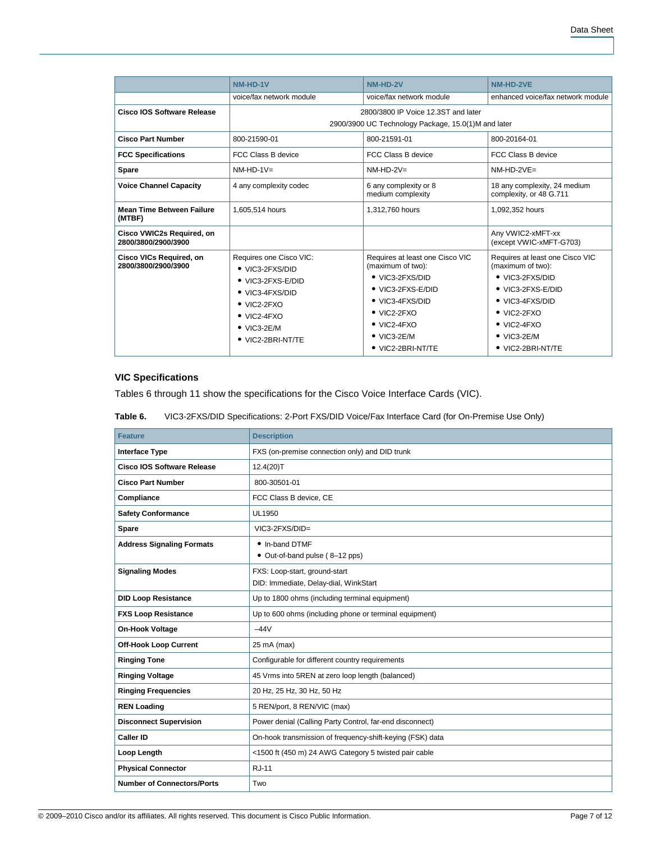|                                                  | NM-HD-1V                                           | NM-HD-2V                                             | NM-HD-2VE                                               |
|--------------------------------------------------|----------------------------------------------------|------------------------------------------------------|---------------------------------------------------------|
|                                                  | voice/fax network module                           | voice/fax network module                             | enhanced voice/fax network module                       |
| Cisco IOS Software Release                       | 2800/3800 IP Voice 12,3ST and later                |                                                      |                                                         |
|                                                  |                                                    | 2900/3900 UC Technology Package, 15.0(1)M and later  |                                                         |
| <b>Cisco Part Number</b>                         | 800-21590-01                                       | 800-21591-01                                         | 800-20164-01                                            |
| <b>FCC Specifications</b>                        | FCC Class B device                                 | FCC Class B device                                   | FCC Class B device                                      |
| <b>Spare</b>                                     | $NM-HD-1V=$                                        | $NM-HD-2V=$                                          | $NM-HD-2VE=$                                            |
| <b>Voice Channel Capacity</b>                    | 4 any complexity codec                             | 6 any complexity or 8<br>medium complexity           | 18 any complexity, 24 medium<br>complexity, or 48 G.711 |
| <b>Mean Time Between Failure</b><br>(MTBF)       | 1,605,514 hours                                    | 1,312,760 hours                                      | 1,092,352 hours                                         |
| Cisco VWIC2s Required, on<br>2800/3800/2900/3900 |                                                    |                                                      | Any VWIC2-xMFT-xx<br>(except VWIC-xMFT-G703)            |
| Cisco VICs Required, on<br>2800/3800/2900/3900   | Requires one Cisco VIC:<br>$\bullet$ VIC3-2FXS/DID | Requires at least one Cisco VIC<br>(maximum of two): | Requires at least one Cisco VIC<br>(maximum of two):    |
|                                                  | • VIC3-2FXS-E/DID                                  | • VIC3-2FXS/DID                                      | • VIC3-2FXS/DID                                         |
|                                                  | • VIC3-4FXS/DID                                    | • VIC3-2FXS-E/DID                                    | • VIC3-2FXS-E/DID                                       |
|                                                  | $\bullet$ VIC2-2FXO                                | • VIC3-4FXS/DID                                      | • VIC3-4FXS/DID                                         |
|                                                  | $\bullet$ VIC2-4FXO                                | $\bullet$ VIC2-2FXO                                  | $\bullet$ VIC2-2FXO                                     |
|                                                  | $\bullet$ VIC3-2E/M                                | $\bullet$ VIC2-4FXO                                  | $\bullet$ VIC2-4FXO                                     |
|                                                  | • VIC2-2BRI-NT/TE                                  | $\bullet$ VIC3-2E/M                                  | $\bullet$ VIC3-2E/M                                     |
|                                                  |                                                    | • VIC2-2BRI-NT/TE                                    | $\bullet$ VIC2-2BRI-NT/TE                               |

# **VIC Specifications**

Tables 6 through 11 show the specifications for the Cisco Voice Interface Cards (VIC).

**Table 6.** VIC3-2FXS/DID Specifications: 2-Port FXS/DID Voice/Fax Interface Card (for On-Premise Use Only)

| <b>Feature</b>                    | <b>Description</b>                                                     |
|-----------------------------------|------------------------------------------------------------------------|
| <b>Interface Type</b>             | FXS (on-premise connection only) and DID trunk                         |
| Cisco IOS Software Release        | 12.4(20)T                                                              |
| <b>Cisco Part Number</b>          | 800-30501-01                                                           |
| Compliance                        | FCC Class B device, CE                                                 |
| <b>Safety Conformance</b>         | <b>UL1950</b>                                                          |
| Spare                             | VIC3-2FXS/DID=                                                         |
| <b>Address Signaling Formats</b>  | • In-band DTMF<br>• Out-of-band pulse (8-12 pps)                       |
| <b>Signaling Modes</b>            | FXS: Loop-start, ground-start<br>DID: Immediate, Delay-dial, WinkStart |
| <b>DID Loop Resistance</b>        | Up to 1800 ohms (including terminal equipment)                         |
| <b>FXS Loop Resistance</b>        | Up to 600 ohms (including phone or terminal equipment)                 |
| <b>On-Hook Voltage</b>            | $-44V$                                                                 |
| <b>Off-Hook Loop Current</b>      | 25 mA (max)                                                            |
| <b>Ringing Tone</b>               | Configurable for different country requirements                        |
| <b>Ringing Voltage</b>            | 45 Vrms into 5REN at zero loop length (balanced)                       |
| <b>Ringing Frequencies</b>        | 20 Hz, 25 Hz, 30 Hz, 50 Hz                                             |
| <b>REN Loading</b>                | 5 REN/port, 8 REN/VIC (max)                                            |
| <b>Disconnect Supervision</b>     | Power denial (Calling Party Control, far-end disconnect)               |
| <b>Caller ID</b>                  | On-hook transmission of frequency-shift-keying (FSK) data              |
| Loop Length                       | <1500 ft (450 m) 24 AWG Category 5 twisted pair cable                  |
| <b>Physical Connector</b>         | <b>RJ-11</b>                                                           |
| <b>Number of Connectors/Ports</b> | Two                                                                    |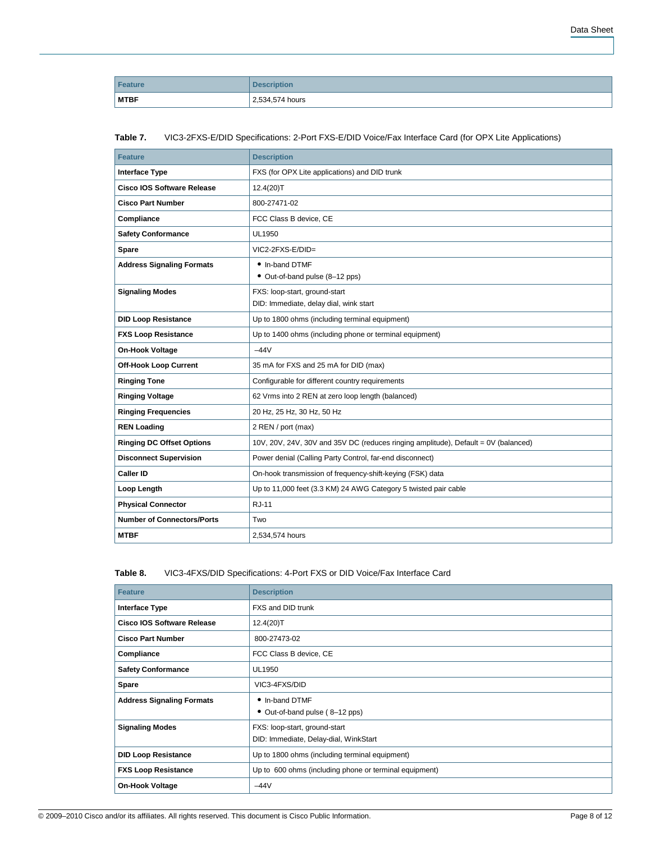| Feature     | <b>Description</b> |
|-------------|--------------------|
| <b>MTBF</b> | 2,534,574 hours    |

## **Table 7.** VIC3-2FXS-E/DID Specifications: 2-Port FXS-E/DID Voice/Fax Interface Card (for OPX Lite Applications)

| <b>Feature</b>                    | <b>Description</b>                                                                 |
|-----------------------------------|------------------------------------------------------------------------------------|
| <b>Interface Type</b>             | FXS (for OPX Lite applications) and DID trunk                                      |
| <b>Cisco IOS Software Release</b> | 12.4(20)T                                                                          |
| <b>Cisco Part Number</b>          | 800-27471-02                                                                       |
| Compliance                        | FCC Class B device, CE                                                             |
| <b>Safety Conformance</b>         | UL1950                                                                             |
| Spare                             | $VIC2-2FXS-E/DID=$                                                                 |
| <b>Address Signaling Formats</b>  | • In-band DTMF<br>• Out-of-band pulse (8-12 pps)                                   |
| <b>Signaling Modes</b>            | FXS: loop-start, ground-start<br>DID: Immediate, delay dial, wink start            |
| <b>DID Loop Resistance</b>        | Up to 1800 ohms (including terminal equipment)                                     |
| <b>FXS Loop Resistance</b>        | Up to 1400 ohms (including phone or terminal equipment)                            |
| <b>On-Hook Voltage</b>            | $-44V$                                                                             |
| <b>Off-Hook Loop Current</b>      | 35 mA for FXS and 25 mA for DID (max)                                              |
| <b>Ringing Tone</b>               | Configurable for different country requirements                                    |
| <b>Ringing Voltage</b>            | 62 Vrms into 2 REN at zero loop length (balanced)                                  |
| <b>Ringing Frequencies</b>        | 20 Hz, 25 Hz, 30 Hz, 50 Hz                                                         |
| <b>REN Loading</b>                | 2 REN / port (max)                                                                 |
| <b>Ringing DC Offset Options</b>  | 10V, 20V, 24V, 30V and 35V DC (reduces ringing amplitude), Default = 0V (balanced) |
| <b>Disconnect Supervision</b>     | Power denial (Calling Party Control, far-end disconnect)                           |
| <b>Caller ID</b>                  | On-hook transmission of frequency-shift-keying (FSK) data                          |
| Loop Length                       | Up to 11,000 feet (3.3 KM) 24 AWG Category 5 twisted pair cable                    |
| <b>Physical Connector</b>         | <b>RJ-11</b>                                                                       |
| <b>Number of Connectors/Ports</b> | Two                                                                                |
| <b>MTBF</b>                       | 2,534,574 hours                                                                    |

# **Table 8.** VIC3-4FXS/DID Specifications: 4-Port FXS or DID Voice/Fax Interface Card

| <b>Feature</b>                    | <b>Description</b>                                                     |
|-----------------------------------|------------------------------------------------------------------------|
| Interface Type                    | FXS and DID trunk                                                      |
| <b>Cisco IOS Software Release</b> | 12.4(20)T                                                              |
| <b>Cisco Part Number</b>          | 800-27473-02                                                           |
| Compliance                        | FCC Class B device, CE                                                 |
| <b>Safety Conformance</b>         | UL1950                                                                 |
| Spare                             | VIC3-4FXS/DID                                                          |
| <b>Address Signaling Formats</b>  | • In-band DTMF<br>• Out-of-band pulse (8-12 pps)                       |
| <b>Signaling Modes</b>            | FXS: loop-start, ground-start<br>DID: Immediate, Delay-dial, WinkStart |
| <b>DID Loop Resistance</b>        | Up to 1800 ohms (including terminal equipment)                         |
| <b>FXS Loop Resistance</b>        | Up to 600 ohms (including phone or terminal equipment)                 |
| <b>On-Hook Voltage</b>            | $-44V$                                                                 |

Data Sheet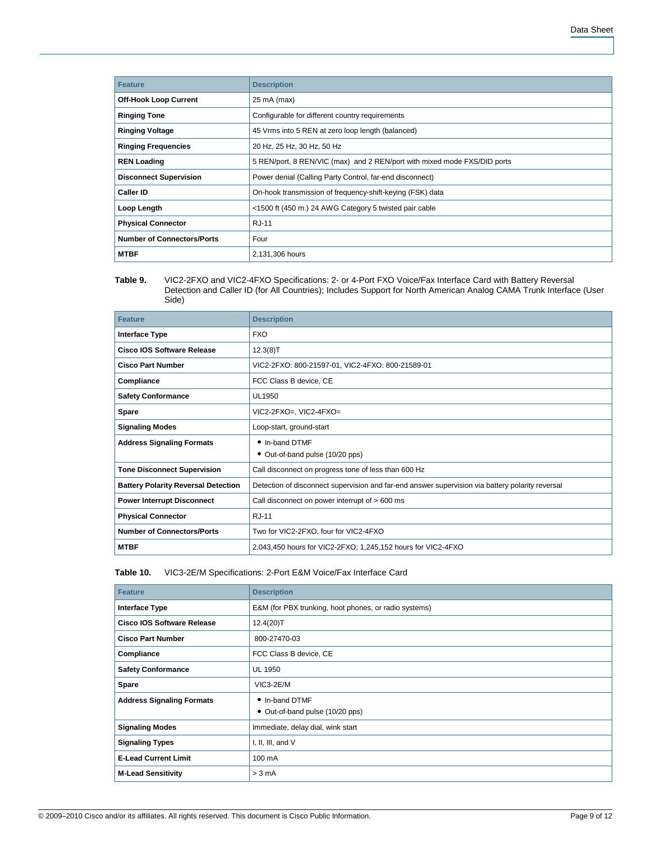| <b>Feature</b>                    | <b>Description</b>                                                       |  |  |  |  |  |
|-----------------------------------|--------------------------------------------------------------------------|--|--|--|--|--|
| <b>Off-Hook Loop Current</b>      | 25 mA (max)                                                              |  |  |  |  |  |
| <b>Ringing Tone</b>               | Configurable for different country requirements                          |  |  |  |  |  |
| <b>Ringing Voltage</b>            | 45 Vrms into 5 REN at zero loop length (balanced)                        |  |  |  |  |  |
| <b>Ringing Frequencies</b>        | 20 Hz, 25 Hz, 30 Hz, 50 Hz                                               |  |  |  |  |  |
| <b>REN Loading</b>                | 5 REN/port, 8 REN/VIC (max) and 2 REN/port with mixed mode FXS/DID ports |  |  |  |  |  |
| <b>Disconnect Supervision</b>     | Power denial (Calling Party Control, far-end disconnect)                 |  |  |  |  |  |
| <b>Caller ID</b>                  | On-hook transmission of frequency-shift-keying (FSK) data                |  |  |  |  |  |
| Loop Length                       | <1500 ft (450 m.) 24 AWG Category 5 twisted pair cable                   |  |  |  |  |  |
| <b>Physical Connector</b>         | <b>RJ-11</b>                                                             |  |  |  |  |  |
| <b>Number of Connectors/Ports</b> | Four                                                                     |  |  |  |  |  |
| <b>MTBF</b>                       | 2,131,306 hours                                                          |  |  |  |  |  |

**Table 9.** VIC2-2FXO and VIC2-4FXO Specifications: 2- or 4-Port FXO Voice/Fax Interface Card with Battery Reversal Detection and Caller ID (for All Countries); Includes Support for North American Analog CAMA Trunk Interface (User Side)

| <b>Feature</b>                             | <b>Description</b>                                                                               |  |  |  |  |
|--------------------------------------------|--------------------------------------------------------------------------------------------------|--|--|--|--|
| Interface Type                             | <b>FXO</b>                                                                                       |  |  |  |  |
| Cisco IOS Software Release                 | 12.3(8)T                                                                                         |  |  |  |  |
| <b>Cisco Part Number</b>                   | VIC2-2FXO: 800-21597-01, VIC2-4FXO: 800-21589-01                                                 |  |  |  |  |
| Compliance                                 | FCC Class B device, CE                                                                           |  |  |  |  |
| <b>Safety Conformance</b>                  | UL1950                                                                                           |  |  |  |  |
| Spare                                      | VIC2-2FXO=, VIC2-4FXO=                                                                           |  |  |  |  |
| <b>Signaling Modes</b>                     | Loop-start, ground-start                                                                         |  |  |  |  |
| <b>Address Signaling Formats</b>           | • In-band DTMF                                                                                   |  |  |  |  |
|                                            | • Out-of-band pulse (10/20 pps)                                                                  |  |  |  |  |
| <b>Tone Disconnect Supervision</b>         | Call disconnect on progress tone of less than 600 Hz                                             |  |  |  |  |
| <b>Battery Polarity Reversal Detection</b> | Detection of disconnect supervision and far-end answer supervision via battery polarity reversal |  |  |  |  |
| <b>Power Interrupt Disconnect</b>          | Call disconnect on power interrupt of > 600 ms                                                   |  |  |  |  |
| <b>Physical Connector</b>                  | RJ-11                                                                                            |  |  |  |  |
| <b>Number of Connectors/Ports</b>          | Two for VIC2-2FXO, four for VIC2-4FXO                                                            |  |  |  |  |
| <b>MTBF</b>                                | 2,043,450 hours for VIC2-2FXO; 1,245,152 hours for VIC2-4FXO                                     |  |  |  |  |

## **Table 10.** VIC3-2E/M Specifications: 2-Port E&M Voice/Fax Interface Card

| <b>Feature</b>                    | <b>Description</b>                                    |  |  |  |  |
|-----------------------------------|-------------------------------------------------------|--|--|--|--|
| Interface Type                    | E&M (for PBX trunking, hoot phones, or radio systems) |  |  |  |  |
| <b>Cisco IOS Software Release</b> | 12.4(20)T                                             |  |  |  |  |
| <b>Cisco Part Number</b>          | 800-27470-03                                          |  |  |  |  |
| Compliance                        | FCC Class B device, CE                                |  |  |  |  |
| <b>Safety Conformance</b>         | <b>UL 1950</b>                                        |  |  |  |  |
| Spare                             | $VIC3-2E/M$                                           |  |  |  |  |
| <b>Address Signaling Formats</b>  | • In-band DTMF<br>• Out-of-band pulse (10/20 pps)     |  |  |  |  |
| <b>Signaling Modes</b>            | Immediate, delay dial, wink start                     |  |  |  |  |
| <b>Signaling Types</b>            | I, II, III, and V                                     |  |  |  |  |
| <b>E-Lead Current Limit</b>       | 100 mA                                                |  |  |  |  |
| <b>M-Lead Sensitivity</b>         | > 3 mA                                                |  |  |  |  |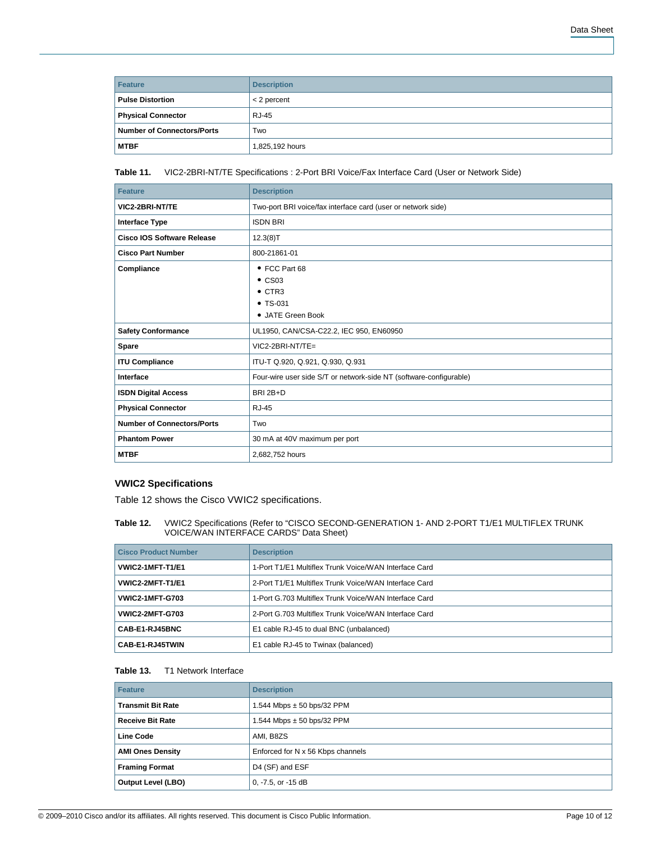| Feature                           | <b>Description</b> |
|-----------------------------------|--------------------|
| <b>Pulse Distortion</b>           | $<$ 2 percent      |
| <b>Physical Connector</b>         | <b>RJ-45</b>       |
| <b>Number of Connectors/Ports</b> | Two                |
| <b>MTBF</b>                       | 1,825,192 hours    |

## **Table 11.** VIC2-2BRI-NT/TE Specifications : 2-Port BRI Voice/Fax Interface Card (User or Network Side)

| <b>Feature</b>                    | <b>Description</b>                                                                   |  |  |  |  |
|-----------------------------------|--------------------------------------------------------------------------------------|--|--|--|--|
| VIC2-2BRI-NT/TE                   | Two-port BRI voice/fax interface card (user or network side)                         |  |  |  |  |
| <b>Interface Type</b>             | <b>ISDN BRI</b>                                                                      |  |  |  |  |
| Cisco IOS Software Release        | 12.3(8)T                                                                             |  |  |  |  |
| <b>Cisco Part Number</b>          | 800-21861-01                                                                         |  |  |  |  |
| Compliance                        | • FCC Part 68<br>$\bullet$ CS03<br>$\bullet$ CTR3<br>$• TS-031$<br>• JATE Green Book |  |  |  |  |
| <b>Safety Conformance</b>         | UL1950, CAN/CSA-C22.2, IEC 950, EN60950                                              |  |  |  |  |
| Spare                             | $VIC2-2BRI-NT/TE=$                                                                   |  |  |  |  |
| <b>ITU Compliance</b>             | ITU-T Q.920, Q.921, Q.930, Q.931                                                     |  |  |  |  |
| Interface                         | Four-wire user side S/T or network-side NT (software-configurable)                   |  |  |  |  |
| <b>ISDN Digital Access</b>        | BRI 2B+D                                                                             |  |  |  |  |
| <b>Physical Connector</b>         | <b>RJ-45</b>                                                                         |  |  |  |  |
| <b>Number of Connectors/Ports</b> | Two                                                                                  |  |  |  |  |
| <b>Phantom Power</b>              | 30 mA at 40V maximum per port                                                        |  |  |  |  |
| <b>MTBF</b>                       | 2,682,752 hours                                                                      |  |  |  |  |

## **VWIC2 Specifications**

Table 12 shows the Cisco VWIC2 specifications.

**Table 12.** VWIC2 Specifications (Refer to "CISCO SECOND-GENERATION 1- AND 2-PORT T1/E1 MULTIFLEX TRUNK VOICE/WAN INTERFACE CARDS" Data Sheet)

| <b>Cisco Product Number</b> | <b>Description</b>                                    |  |  |  |
|-----------------------------|-------------------------------------------------------|--|--|--|
| VWIC2-1MFT-T1/E1            | 1-Port T1/E1 Multiflex Trunk Voice/WAN Interface Card |  |  |  |
| VWIC2-2MFT-T1/E1            | 2-Port T1/E1 Multiflex Trunk Voice/WAN Interface Card |  |  |  |
| <b>VWIC2-1MFT-G703</b>      | 1-Port G.703 Multiflex Trunk Voice/WAN Interface Card |  |  |  |
| <b>VWIC2-2MFT-G703</b>      | 2-Port G.703 Multiflex Trunk Voice/WAN Interface Card |  |  |  |
| CAB-E1-RJ45BNC              | E1 cable RJ-45 to dual BNC (unbalanced)               |  |  |  |
| CAB-E1-RJ45TWIN             | E1 cable RJ-45 to Twinax (balanced)                   |  |  |  |

#### **Table 13.** T1 Network Interface

| <b>Feature</b>            | <b>Description</b>                |  |  |  |
|---------------------------|-----------------------------------|--|--|--|
| <b>Transmit Bit Rate</b>  | 1.544 Mbps $\pm$ 50 bps/32 PPM    |  |  |  |
| <b>Receive Bit Rate</b>   | 1.544 Mbps $\pm$ 50 bps/32 PPM    |  |  |  |
| Line Code                 | AMI, B8ZS                         |  |  |  |
| <b>AMI Ones Density</b>   | Enforced for N x 56 Kbps channels |  |  |  |
| <b>Framing Format</b>     | D4 (SF) and ESF                   |  |  |  |
| <b>Output Level (LBO)</b> | $0, -7.5,$ or $-15$ dB            |  |  |  |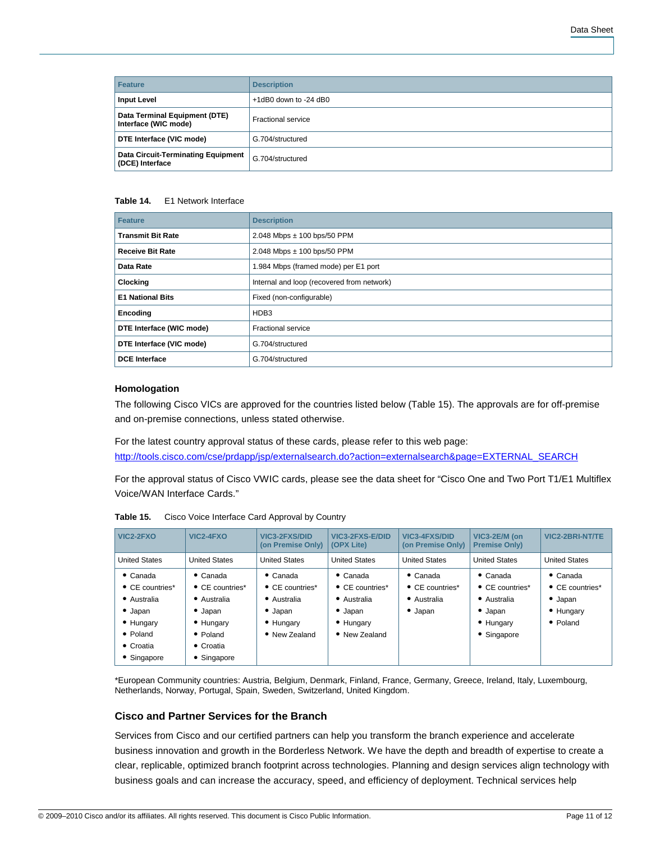| <b>Feature</b>                                               | <b>Description</b>       |  |  |  |  |
|--------------------------------------------------------------|--------------------------|--|--|--|--|
| <b>Input Level</b>                                           | $+1$ dB0 down to -24 dB0 |  |  |  |  |
| Data Terminal Equipment (DTE)<br>Interface (WIC mode)        | Fractional service       |  |  |  |  |
| DTE Interface (VIC mode)                                     | G.704/structured         |  |  |  |  |
| <b>Data Circuit-Terminating Equipment</b><br>(DCE) Interface | G.704/structured         |  |  |  |  |

#### **Table 14.** E1 Network Interface

| Feature                  | <b>Description</b>                         |  |  |  |  |
|--------------------------|--------------------------------------------|--|--|--|--|
| <b>Transmit Bit Rate</b> | 2.048 Mbps ± 100 bps/50 PPM                |  |  |  |  |
| <b>Receive Bit Rate</b>  | 2.048 Mbps $\pm$ 100 bps/50 PPM            |  |  |  |  |
| Data Rate                | 1.984 Mbps (framed mode) per E1 port       |  |  |  |  |
| <b>Clocking</b>          | Internal and loop (recovered from network) |  |  |  |  |
| <b>E1 National Bits</b>  | Fixed (non-configurable)                   |  |  |  |  |
| Encoding                 | HDB3                                       |  |  |  |  |
| DTE Interface (WIC mode) | <b>Fractional service</b>                  |  |  |  |  |
| DTE Interface (VIC mode) | G.704/structured                           |  |  |  |  |
| <b>DCE</b> Interface     | G.704/structured                           |  |  |  |  |

## **Homologation**

The following Cisco VICs are approved for the countries listed below (Table 15). The approvals are for off-premise and on-premise connections, unless stated otherwise.

For the latest country approval status of these cards, please refer to this web page: [http://tools.cisco.com/cse/prdapp/jsp/externalsearch.do?action=externalsearch&page=EXTERNAL\\_SEARCH](http://tools.cisco.com/cse/prdapp/jsp/externalsearch.do?action=externalsearch&page=EXTERNAL_SEARCH)

For the approval status of Cisco VWIC cards, please see the data sheet for "Cisco One and Two Port T1/E1 Multiflex Voice/WAN Interface Cards."

| VIC2-2FXO                                                                                                                                  | VIC2-4FXO                                                                                                                                          | VIC3-2FXS/DID<br>(on Premise Only)                                                                          | VIC3-2FXS-E/DID<br>(OPX Lite)                                                                               | VIC3-4FXS/DID<br>(on Premise Only)                                            | VIC3-2E/M (on<br><b>Premise Only)</b>                                                                     | VIC2-2BRI-NT/TE                                                                         |
|--------------------------------------------------------------------------------------------------------------------------------------------|----------------------------------------------------------------------------------------------------------------------------------------------------|-------------------------------------------------------------------------------------------------------------|-------------------------------------------------------------------------------------------------------------|-------------------------------------------------------------------------------|-----------------------------------------------------------------------------------------------------------|-----------------------------------------------------------------------------------------|
| <b>United States</b>                                                                                                                       | <b>United States</b>                                                                                                                               | <b>United States</b>                                                                                        | <b>United States</b>                                                                                        | <b>United States</b>                                                          | <b>United States</b>                                                                                      | <b>United States</b>                                                                    |
| $\bullet$ Canada<br>$\bullet$ CE countries*<br>• Australia<br>$\bullet$ Japan<br>• Hungary<br>$\bullet$ Poland<br>• Croatia<br>• Singapore | $\bullet$ Canada<br>$\bullet$ CE countries*<br>• Australia<br>$\bullet$ Japan<br>• Hungary<br>$\bullet$ Poland<br>$\bullet$ Croatia<br>• Singapore | $\bullet$ Canada<br>$\bullet$ CE countries*<br>• Australia<br>$\bullet$ Japan<br>• Hungary<br>• New Zealand | $\bullet$ Canada<br>$\bullet$ CE countries*<br>• Australia<br>$\bullet$ Japan<br>• Hungary<br>• New Zealand | $\bullet$ Canada<br>$\bullet$ CE countries*<br>• Australia<br>$\bullet$ Japan | $\bullet$ Canada<br>$\bullet$ CE countries*<br>• Australia<br>$\bullet$ Japan<br>• Hungary<br>• Singapore | $\bullet$ Canada<br>$\bullet$ CE countries*<br>$\bullet$ Japan<br>• Hungary<br>• Poland |

**Table 15.** Cisco Voice Interface Card Approval by Country

\*European Community countries: Austria, Belgium, Denmark, Finland, France, Germany, Greece, Ireland, Italy, Luxembourg, Netherlands, Norway, Portugal, Spain, Sweden, Switzerland, United Kingdom.

# **Cisco and Partner Services for the Branch**

Services from Cisco and our certified partners can help you transform the branch experience and accelerate business innovation and growth in the Borderless Network. We have the depth and breadth of expertise to create a clear, replicable, optimized branch footprint across technologies. Planning and design services align technology with business goals and can increase the accuracy, speed, and efficiency of deployment. Technical services help